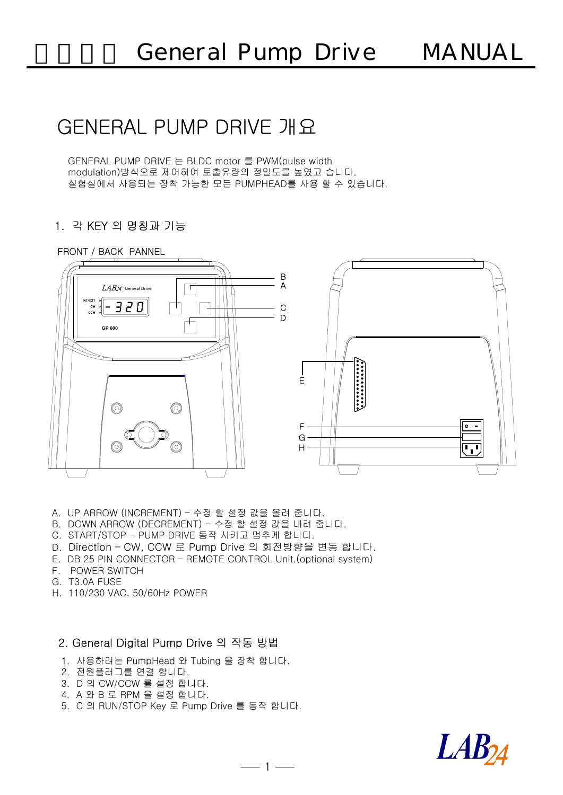# GENERAL PUMP DRIVE 개요

GENERAL PUMP DRIVE 는 BLDC motor 를 PWM(pulse width modulation)방식으로 제어하여 토출유량의 정밀도를 높였고 습니다. 실험실에서 사용되는 장착 가능한 모든 PUMPHEAD를 사용 할 수 있습니다.

## 1. 각 KEY 의 명칭과 기

### FRONT / BACK PANNEL



 $-1$  —

- A. UP ARROW (INCREMENT) 수정 할 설정 값을 올려 줍니다.
- B. DOWN ARROW (DECREMENT) 수정 할 설정 값을 내려 줍니다.
- C. START/STOP PUMP DRIVE 동작 시키고 멈추게 합니다.
- D. Direction CW, CCW 로 Pump Drive 의 회전방향을 변동 합니다.
- E. DB 25 PIN CONNECTOR REMOTE CONTROL Unit.(optional system)
- F. POWER SWITCH
- G. T3.0A FUSE
- H. 110/230 VAC, 50/60Hz POWER

#### 2. General Digital Pump Drive 의 작동 방법

- 1. 사용하려는 PumpHead 와 Tubing 을 장착 합니다.
- 2. 전원플러그를 연결 합니다.
- 3. D 의 CW/CCW 를 설정 합니다.
- 4. A 와 B 로 RPM 을 설정 합니다.
- 5. C 의 RUN/STOP Key 로 Pump Drive 를 동작 합니다.